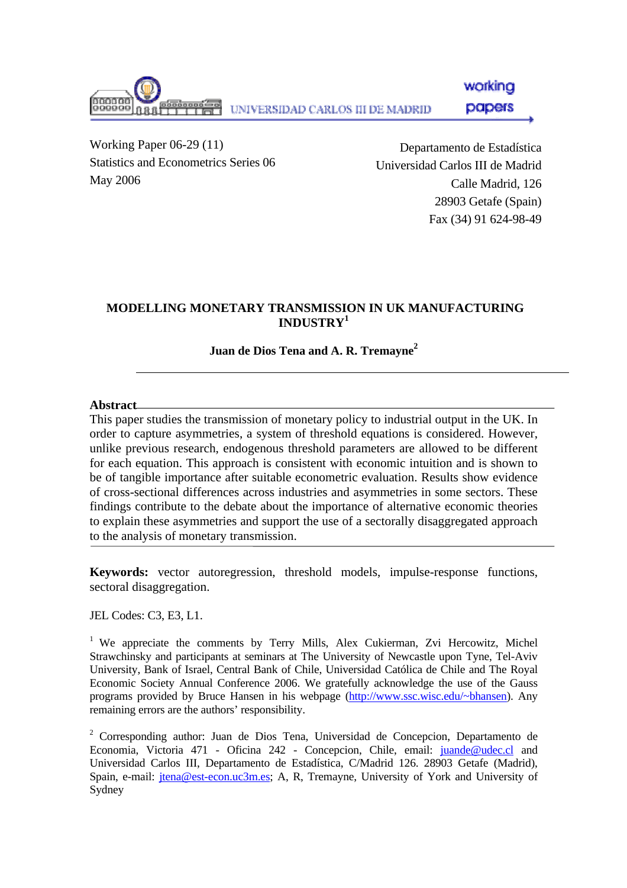working anaano papers UNIVERSIDAD CARLOS III DE MADRID

Working Paper 06-29 (11) Statistics and Econometrics Series 06 May 2006

Departamento de Estadística Universidad Carlos III de Madrid Calle Madrid, 126 28903 Getafe (Spain) Fax (34) 91 624-98-49

## **MODELLING MONETARY TRANSMISSION IN UK MANUFACTURING INDUSTRY<sup>1</sup>**

# **Juan de Dios Tena and A. R. Tremayne 2**

### **Abstract**

This paper studies the transmission of monetary policy to industrial output in the UK. In order to capture asymmetries, a system of threshold equations is considered. However, unlike previous research, endogenous threshold parameters are allowed to be different for each equation. This approach is consistent with economic intuition and is shown to be of tangible importance after suitable econometric evaluation. Results show evidence of cross-sectional differences across industries and asymmetries in some sectors. These findings contribute to the debate about the importance of alternative economic theories to explain these asymmetries and support the use of a sectorally disaggregated approach to the analysis of monetary transmission.

**Keywords:** vector autoregression, threshold models, impulse-response functions, sectoral disaggregation.

JEL Codes: C3, E3, L1.

<sup>1</sup> We appreciate the comments by Terry Mills, Alex Cukierman, Zvi Hercowitz, Michel Strawchinsky and participants at seminars at The University of Newcastle upon Tyne, Tel-Aviv University, Bank of Israel, Central Bank of Chile, Universidad Católica de Chile and The Royal Economic Society Annual Conference 2006. We gratefully acknowledge the use of the Gauss programs provided by Bruce Hansen in his webpage (http://www.ssc.wisc.edu/~bhansen). Any remaining errors are the authors' responsibility.

<sup>2</sup> Corresponding author: Juan de Dios Tena, Universidad de Concepcion, Departamento de Economia, Victoria 471 - Oficina 242 - Concepcion, Chile, email: juande@udec.cl and Universidad Carlos III, Departamento de Estadística, C/Madrid 126. 28903 Getafe (Madrid), Spain, e-mail: jtena@est-econ.uc3m.es; A, R, Tremayne, University of York and University of Sydney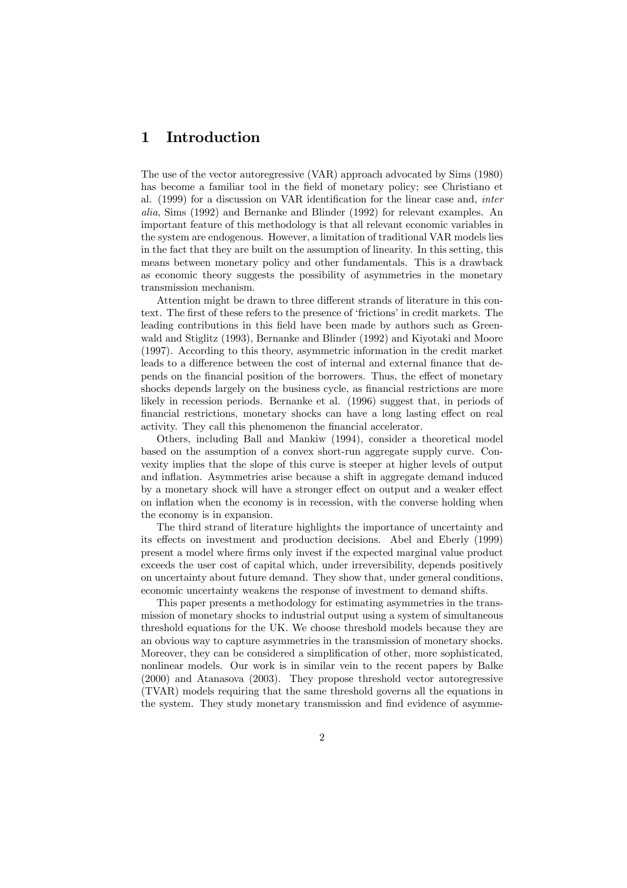# 1 Introduction

The use of the vector autoregressive (VAR) approach advocated by Sims (1980) has become a familiar tool in the field of monetary policy; see Christiano et al. (1999) for a discussion on VAR identification for the linear case and, inter alia, Sims (1992) and Bernanke and Blinder (1992) for relevant examples. An important feature of this methodology is that all relevant economic variables in the system are endogenous. However, a limitation of traditional VAR models lies in the fact that they are built on the assumption of linearity. In this setting, this means between monetary policy and other fundamentals. This is a drawback as economic theory suggests the possibility of asymmetries in the monetary transmission mechanism.

Attention might be drawn to three different strands of literature in this context. The first of these refers to the presence of 'frictions' in credit markets. The leading contributions in this field have been made by authors such as Greenwald and Stiglitz (1993), Bernanke and Blinder (1992) and Kiyotaki and Moore (1997). According to this theory, asymmetric information in the credit market leads to a difference between the cost of internal and external finance that depends on the financial position of the borrowers. Thus, the effect of monetary shocks depends largely on the business cycle, as financial restrictions are more likely in recession periods. Bernanke et al. (1996) suggest that, in periods of financial restrictions, monetary shocks can have a long lasting effect on real activity. They call this phenomenon the financial accelerator.

Others, including Ball and Mankiw (1994), consider a theoretical model based on the assumption of a convex short-run aggregate supply curve. Convexity implies that the slope of this curve is steeper at higher levels of output and inflation. Asymmetries arise because a shift in aggregate demand induced by a monetary shock will have a stronger effect on output and a weaker effect on inflation when the economy is in recession, with the converse holding when the economy is in expansion.

The third strand of literature highlights the importance of uncertainty and its effects on investment and production decisions. Abel and Eberly (1999) present a model where firms only invest if the expected marginal value product exceeds the user cost of capital which, under irreversibility, depends positively on uncertainty about future demand. They show that, under general conditions, economic uncertainty weakens the response of investment to demand shifts.

This paper presents a methodology for estimating asymmetries in the transmission of monetary shocks to industrial output using a system of simultaneous threshold equations for the UK. We choose threshold models because they are an obvious way to capture asymmetries in the transmission of monetary shocks. Moreover, they can be considered a simplification of other, more sophisticated, nonlinear models. Our work is in similar vein to the recent papers by Balke (2000) and Atanasova (2003). They propose threshold vector autoregressive (TVAR) models requiring that the same threshold governs all the equations in the system. They study monetary transmission and find evidence of asymme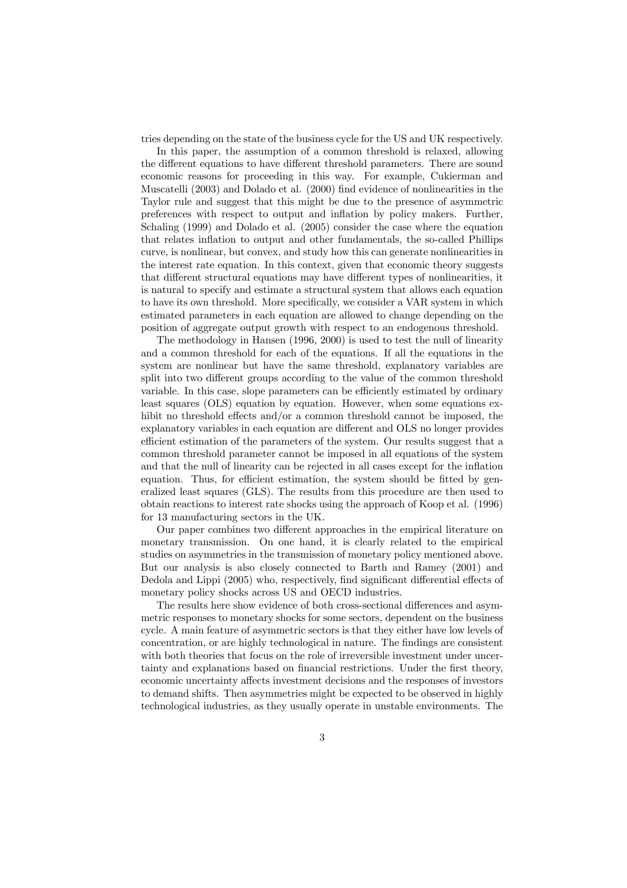tries depending on the state of the business cycle for the US and UK respectively.

In this paper, the assumption of a common threshold is relaxed, allowing the different equations to have different threshold parameters. There are sound economic reasons for proceeding in this way. For example, Cukierman and Muscatelli (2003) and Dolado et al. (2000) find evidence of nonlinearities in the Taylor rule and suggest that this might be due to the presence of asymmetric preferences with respect to output and inflation by policy makers. Further, Schaling (1999) and Dolado et al. (2005) consider the case where the equation that relates inflation to output and other fundamentals, the so-called Phillips curve, is nonlinear, but convex, and study how this can generate nonlinearities in the interest rate equation. In this context, given that economic theory suggests that different structural equations may have different types of nonlinearities, it is natural to specify and estimate a structural system that allows each equation to have its own threshold. More specifically, we consider a VAR system in which estimated parameters in each equation are allowed to change depending on the position of aggregate output growth with respect to an endogenous threshold.

The methodology in Hansen (1996, 2000) is used to test the null of linearity and a common threshold for each of the equations. If all the equations in the system are nonlinear but have the same threshold, explanatory variables are split into two different groups according to the value of the common threshold variable. In this case, slope parameters can be efficiently estimated by ordinary least squares (OLS) equation by equation. However, when some equations exhibit no threshold effects and/or a common threshold cannot be imposed, the explanatory variables in each equation are different and OLS no longer provides efficient estimation of the parameters of the system. Our results suggest that a common threshold parameter cannot be imposed in all equations of the system and that the null of linearity can be rejected in all cases except for the inflation equation. Thus, for efficient estimation, the system should be fitted by generalized least squares (GLS). The results from this procedure are then used to obtain reactions to interest rate shocks using the approach of Koop et al. (1996) for 13 manufacturing sectors in the UK.

Our paper combines two different approaches in the empirical literature on monetary transmission. On one hand, it is clearly related to the empirical studies on asymmetries in the transmission of monetary policy mentioned above. But our analysis is also closely connected to Barth and Ramey (2001) and Dedola and Lippi (2005) who, respectively, find significant differential effects of monetary policy shocks across US and OECD industries.

The results here show evidence of both cross-sectional differences and asymmetric responses to monetary shocks for some sectors, dependent on the business cycle. A main feature of asymmetric sectors is that they either have low levels of concentration, or are highly technological in nature. The findings are consistent with both theories that focus on the role of irreversible investment under uncertainty and explanations based on financial restrictions. Under the first theory, economic uncertainty affects investment decisions and the responses of investors to demand shifts. Then asymmetries might be expected to be observed in highly technological industries, as they usually operate in unstable environments. The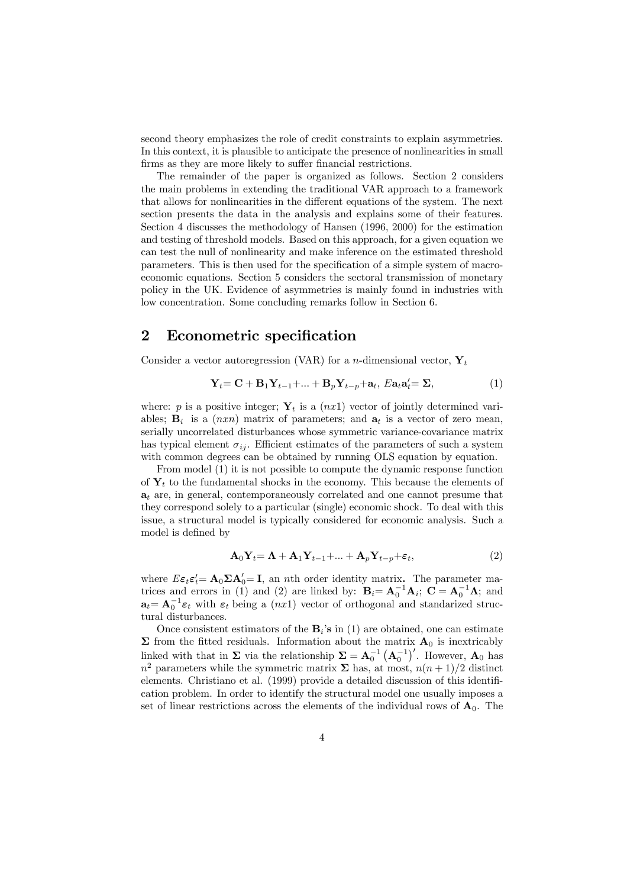second theory emphasizes the role of credit constraints to explain asymmetries. In this context, it is plausible to anticipate the presence of nonlinearities in small firms as they are more likely to suffer financial restrictions.

The remainder of the paper is organized as follows. Section 2 considers the main problems in extending the traditional VAR approach to a framework that allows for nonlinearities in the different equations of the system. The next section presents the data in the analysis and explains some of their features. Section 4 discusses the methodology of Hansen (1996, 2000) for the estimation and testing of threshold models. Based on this approach, for a given equation we can test the null of nonlinearity and make inference on the estimated threshold parameters. This is then used for the specification of a simple system of macroeconomic equations. Section 5 considers the sectoral transmission of monetary policy in the UK. Evidence of asymmetries is mainly found in industries with low concentration. Some concluding remarks follow in Section 6.

### 2 Econometric specification

Consider a vector autoregression (VAR) for a *n*-dimensional vector,  $\mathbf{Y}_t$ 

$$
\mathbf{Y}_{t} = \mathbf{C} + \mathbf{B}_{1} \mathbf{Y}_{t-1} + \dots + \mathbf{B}_{p} \mathbf{Y}_{t-p} + \mathbf{a}_{t}, \, E \mathbf{a}_{t} \mathbf{a}_{t}' = \Sigma, \tag{1}
$$

where: p is a positive integer;  $Y_t$  is a  $(nx1)$  vector of jointly determined variables;  $\mathbf{B}_i$  is a  $(nxn)$  matrix of parameters; and  $\mathbf{a}_t$  is a vector of zero mean, serially uncorrelated disturbances whose symmetric variance-covariance matrix has typical element  $\sigma_{ij}$ . Efficient estimates of the parameters of such a system with common degrees can be obtained by running OLS equation by equation.

From model (1) it is not possible to compute the dynamic response function of  $\mathbf{Y}_t$  to the fundamental shocks in the economy. This because the elements of  $a_t$  are, in general, contemporaneously correlated and one cannot presume that they correspond solely to a particular (single) economic shock. To deal with this issue, a structural model is typically considered for economic analysis. Such a model is defined by

$$
\mathbf{A}_0 \mathbf{Y}_t = \mathbf{\Lambda} + \mathbf{A}_1 \mathbf{Y}_{t-1} + \dots + \mathbf{A}_p \mathbf{Y}_{t-p} + \varepsilon_t, \tag{2}
$$

where  $E \epsilon_t \epsilon'_t = \mathbf{A}_0 \Sigma \mathbf{A}'_0 = \mathbf{I}$ , an *n*th order identity matrix. The parameter matrices and errors in (1) and (2) are linked by:  $\mathbf{B}_i = \mathbf{A}_0^{-1} \mathbf{A}_i$ ;  $\mathbf{C} = \mathbf{A}_0^{-1} \mathbf{\Lambda}$ ; and  $\mathbf{a}_t = \mathbf{A}_0^{-1} \boldsymbol{\varepsilon}_t$  with  $\boldsymbol{\varepsilon}_t$  being a  $(nx1)$  vector of orthogonal and standarized structural disturbances.

Once consistent estimators of the  $B_i$ 's in (1) are obtained, one can estimate  $\Sigma$  from the fitted residuals. Information about the matrix  $\mathbf{A}_0$  is inextricably linked with that in  $\Sigma$  via the relationship  $\Sigma = \mathbf{A}_0^{-1} (\mathbf{A}_0^{-1})'$ . However,  $\mathbf{A}_0$  has  $n^2$  parameters while the symmetric matrix  $\Sigma$  has, at most,  $n(n+1)/2$  distinct elements. Christiano et al. (1999) provide a detailed discussion of this identification problem. In order to identify the structural model one usually imposes a set of linear restrictions across the elements of the individual rows of  $A_0$ . The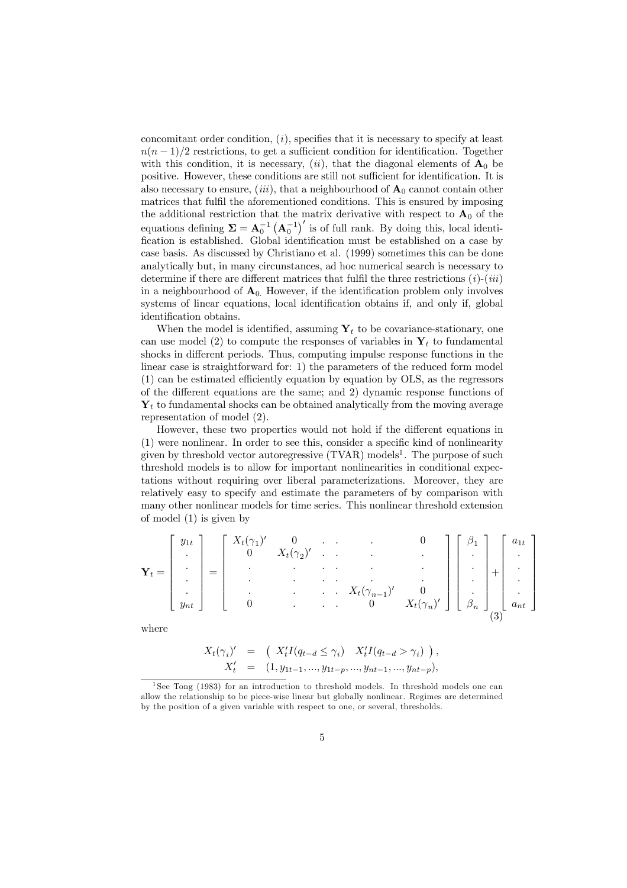concomitant order condition,  $(i)$ , specifies that it is necessary to specify at least  $n(n-1)/2$  restrictions, to get a sufficient condition for identification. Together with this condition, it is necessary,  $(ii)$ , that the diagonal elements of  $A_0$  be positive. However, these conditions are still not sufficient for identification. It is also necessary to ensure, (iii), that a neighbourhood of  $A_0$  cannot contain other matrices that fulfil the aforementioned conditions. This is ensured by imposing the additional restriction that the matrix derivative with respect to  $A_0$  of the equations defining  $\Sigma = A_0^{-1} (A_0^{-1})'$  is of full rank. By doing this, local identification is established. Global identification must be established on a case by case basis. As discussed by Christiano et al. (1999) sometimes this can be done analytically but, in many circunstances, ad hoc numerical search is necessary to determine if there are different matrices that fulfil the three restrictions  $(i)-(iii)$ in a neighbourhood of  $A_0$ . However, if the identification problem only involves systems of linear equations, local identification obtains if, and only if, global identification obtains.

When the model is identified, assuming  $Y_t$  to be covariance-stationary, one can use model (2) to compute the responses of variables in  $Y_t$  to fundamental shocks in different periods. Thus, computing impulse response functions in the linear case is straightforward for: 1) the parameters of the reduced form model (1) can be estimated efficiently equation by equation by OLS, as the regressors of the different equations are the same; and 2) dynamic response functions of  $Y_t$  to fundamental shocks can be obtained analytically from the moving average representation of model (2).

However, these two properties would not hold if the different equations in (1) were nonlinear. In order to see this, consider a specific kind of nonlinearity given by threshold vector autoregressive  $(TVAR)$  models<sup>1</sup>. The purpose of such threshold models is to allow for important nonlinearities in conditional expectations without requiring over liberal parameterizations. Moreover, they are relatively easy to specify and estimate the parameters of by comparison with many other nonlinear models for time series. This nonlinear threshold extension of model (1) is given by

$$
\mathbf{Y}_{t} = \begin{bmatrix} y_{1t} \\ \vdots \\ \vdots \\ y_{nt} \end{bmatrix} = \begin{bmatrix} X_{t}(\gamma_{1})' & 0 & & & & 0 \\ 0 & X_{t}(\gamma_{2})' & \cdots & & & \vdots \\ \vdots & \vdots & \ddots & \vdots & \vdots \\ 0 & \cdots & \cdots & X_{t}(\gamma_{n-1})' & 0 \\ 0 & \cdots & \cdots & 0 & X_{t}(\gamma_{n})' \end{bmatrix} \begin{bmatrix} \beta_{1} \\ \vdots \\ \beta_{n} \end{bmatrix} + \begin{bmatrix} a_{1t} \\ \vdots \\ \vdots \\ a_{nt} \end{bmatrix}
$$

where

⎡

⎤

$$
X_t(\gamma_i)' = \left( \begin{array}{cc} X'_t I(q_{t-d} \le \gamma_i) & X'_t I(q_{t-d} > \gamma_i) \end{array} \right),
$$
  

$$
X'_t = (1, y_{1t-1}, ..., y_{1t-p}, ..., y_{nt-1}, ..., y_{nt-p}),
$$

<sup>&</sup>lt;sup>1</sup>See Tong (1983) for an introduction to threshold models. In threshold models one can allow the relationship to be piece-wise linear but globally nonlinear. Regimes are determined by the position of a given variable with respect to one, or several, thresholds.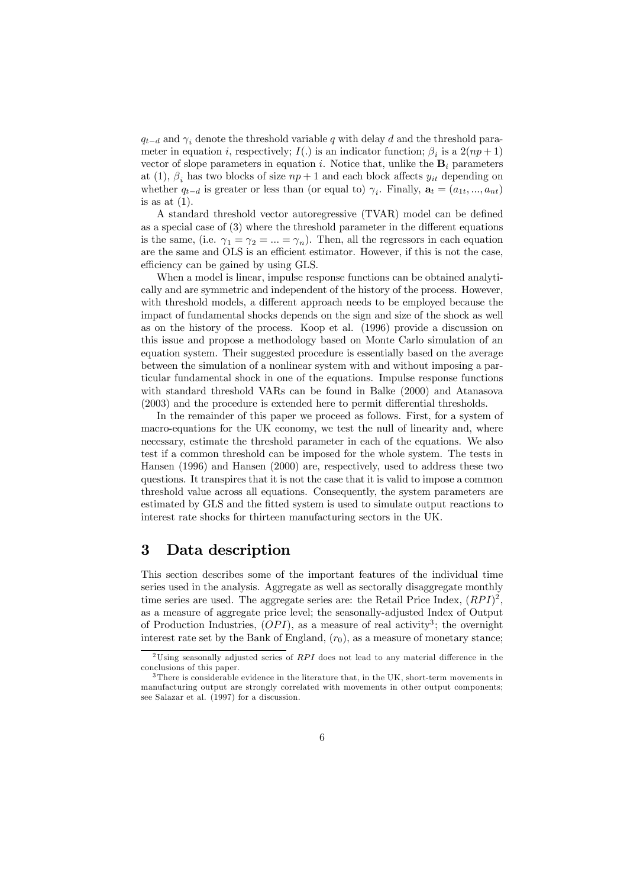$q_{t-d}$  and  $\gamma_i$  denote the threshold variable q with delay d and the threshold parameter in equation i, respectively;  $I(.)$  is an indicator function;  $\beta_i$  is a  $2(np+1)$ vector of slope parameters in equation i. Notice that, unlike the  $B_i$  parameters at (1),  $\beta_i$  has two blocks of size  $np+1$  and each block affects  $y_{it}$  depending on whether  $q_{t-d}$  is greater or less than (or equal to)  $\gamma_i$ . Finally,  $\mathbf{a}_t = (a_{1t},..., a_{nt})$ is as at  $(1)$ .

A standard threshold vector autoregressive (TVAR) model can be defined as a special case of (3) where the threshold parameter in the different equations is the same, (i.e.  $\gamma_1 = \gamma_2 = ... = \gamma_n$ ). Then, all the regressors in each equation are the same and OLS is an efficient estimator. However, if this is not the case, efficiency can be gained by using GLS.

When a model is linear, impulse response functions can be obtained analytically and are symmetric and independent of the history of the process. However, with threshold models, a different approach needs to be employed because the impact of fundamental shocks depends on the sign and size of the shock as well as on the history of the process. Koop et al. (1996) provide a discussion on this issue and propose a methodology based on Monte Carlo simulation of an equation system. Their suggested procedure is essentially based on the average between the simulation of a nonlinear system with and without imposing a particular fundamental shock in one of the equations. Impulse response functions with standard threshold VARs can be found in Balke (2000) and Atanasova (2003) and the procedure is extended here to permit differential thresholds.

In the remainder of this paper we proceed as follows. First, for a system of macro-equations for the UK economy, we test the null of linearity and, where necessary, estimate the threshold parameter in each of the equations. We also test if a common threshold can be imposed for the whole system. The tests in Hansen (1996) and Hansen (2000) are, respectively, used to address these two questions. It transpires that it is not the case that it is valid to impose a common threshold value across all equations. Consequently, the system parameters are estimated by GLS and the fitted system is used to simulate output reactions to interest rate shocks for thirteen manufacturing sectors in the UK.

### 3 Data description

This section describes some of the important features of the individual time series used in the analysis. Aggregate as well as sectorally disaggregate monthly time series are used. The aggregate series are: the Retail Price Index,  $(RPI)^2$ , as a measure of aggregate price level; the seasonally-adjusted Index of Output of Production Industries,  $(OPI)$ , as a measure of real activity<sup>3</sup>; the overnight interest rate set by the Bank of England,  $(r_0)$ , as a measure of monetary stance;

<sup>&</sup>lt;sup>2</sup>Using seasonally adjusted series of RPI does not lead to any material difference in the conclusions of this paper.

<sup>&</sup>lt;sup>3</sup>There is considerable evidence in the literature that, in the UK, short-term movements in manufacturing output are strongly correlated with movements in other output components; see Salazar et al. (1997) for a discussion.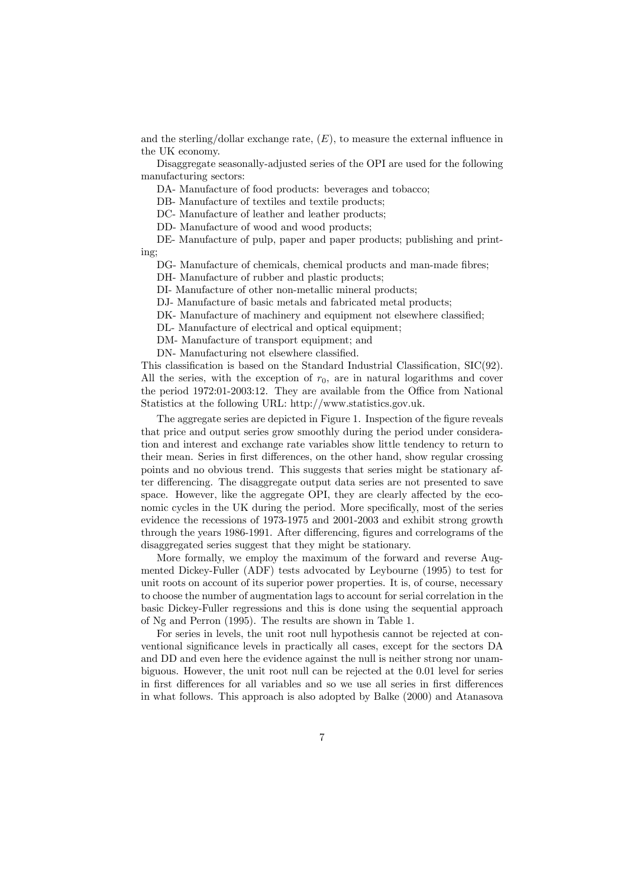and the sterling/dollar exchange rate,  $(E)$ , to measure the external influence in the UK economy.

Disaggregate seasonally-adjusted series of the OPI are used for the following manufacturing sectors:

DA- Manufacture of food products: beverages and tobacco;

DB- Manufacture of textiles and textile products;

DC- Manufacture of leather and leather products;

DD- Manufacture of wood and wood products;

DE- Manufacture of pulp, paper and paper products; publishing and printing;

DG- Manufacture of chemicals, chemical products and man-made fibres;

DH- Manufacture of rubber and plastic products;

DI- Manufacture of other non-metallic mineral products;

DJ- Manufacture of basic metals and fabricated metal products;

DK- Manufacture of machinery and equipment not elsewhere classified;

DL- Manufacture of electrical and optical equipment;

DM- Manufacture of transport equipment; and

DN- Manufacturing not elsewhere classified.

This classification is based on the Standard Industrial Classification, SIC(92). All the series, with the exception of  $r_0$ , are in natural logarithms and cover the period 1972:01-2003:12. They are available from the Office from National Statistics at the following URL: http://www.statistics.gov.uk.

The aggregate series are depicted in Figure 1. Inspection of the figure reveals that price and output series grow smoothly during the period under consideration and interest and exchange rate variables show little tendency to return to their mean. Series in first differences, on the other hand, show regular crossing points and no obvious trend. This suggests that series might be stationary after differencing. The disaggregate output data series are not presented to save space. However, like the aggregate OPI, they are clearly affected by the economic cycles in the UK during the period. More specifically, most of the series evidence the recessions of 1973-1975 and 2001-2003 and exhibit strong growth through the years 1986-1991. After differencing, figures and correlograms of the disaggregated series suggest that they might be stationary.

More formally, we employ the maximum of the forward and reverse Augmented Dickey-Fuller (ADF) tests advocated by Leybourne (1995) to test for unit roots on account of its superior power properties. It is, of course, necessary to choose the number of augmentation lags to account for serial correlation in the basic Dickey-Fuller regressions and this is done using the sequential approach of Ng and Perron (1995). The results are shown in Table 1.

For series in levels, the unit root null hypothesis cannot be rejected at conventional significance levels in practically all cases, except for the sectors DA and DD and even here the evidence against the null is neither strong nor unambiguous. However, the unit root null can be rejected at the 0.01 level for series in first differences for all variables and so we use all series in first differences in what follows. This approach is also adopted by Balke (2000) and Atanasova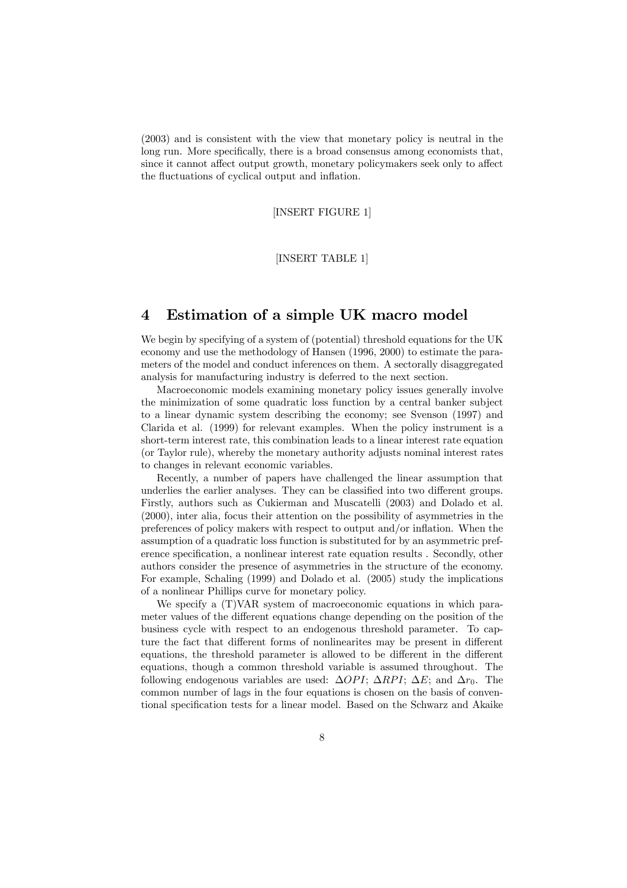(2003) and is consistent with the view that monetary policy is neutral in the long run. More specifically, there is a broad consensus among economists that, since it cannot affect output growth, monetary policymakers seek only to affect the fluctuations of cyclical output and inflation.

[INSERT FIGURE 1]

[INSERT TABLE 1]

### 4 Estimation of a simple UK macro model

We begin by specifying of a system of (potential) threshold equations for the UK economy and use the methodology of Hansen (1996, 2000) to estimate the parameters of the model and conduct inferences on them. A sectorally disaggregated analysis for manufacturing industry is deferred to the next section.

Macroeconomic models examining monetary policy issues generally involve the minimization of some quadratic loss function by a central banker subject to a linear dynamic system describing the economy; see Svenson (1997) and Clarida et al. (1999) for relevant examples. When the policy instrument is a short-term interest rate, this combination leads to a linear interest rate equation (or Taylor rule), whereby the monetary authority adjusts nominal interest rates to changes in relevant economic variables.

Recently, a number of papers have challenged the linear assumption that underlies the earlier analyses. They can be classified into two different groups. Firstly, authors such as Cukierman and Muscatelli (2003) and Dolado et al. (2000), inter alia, focus their attention on the possibility of asymmetries in the preferences of policy makers with respect to output and/or inflation. When the assumption of a quadratic loss function is substituted for by an asymmetric preference specification, a nonlinear interest rate equation results . Secondly, other authors consider the presence of asymmetries in the structure of the economy. For example, Schaling (1999) and Dolado et al. (2005) study the implications of a nonlinear Phillips curve for monetary policy.

We specify a  $(T)VAR$  system of macroeconomic equations in which parameter values of the different equations change depending on the position of the business cycle with respect to an endogenous threshold parameter. To capture the fact that different forms of nonlinearites may be present in different equations, the threshold parameter is allowed to be different in the different equations, though a common threshold variable is assumed throughout. The following endogenous variables are used:  $\Delta OPI$ ;  $\Delta RPI$ ;  $\Delta E$ ; and  $\Delta r_0$ . The common number of lags in the four equations is chosen on the basis of conventional specification tests for a linear model. Based on the Schwarz and Akaike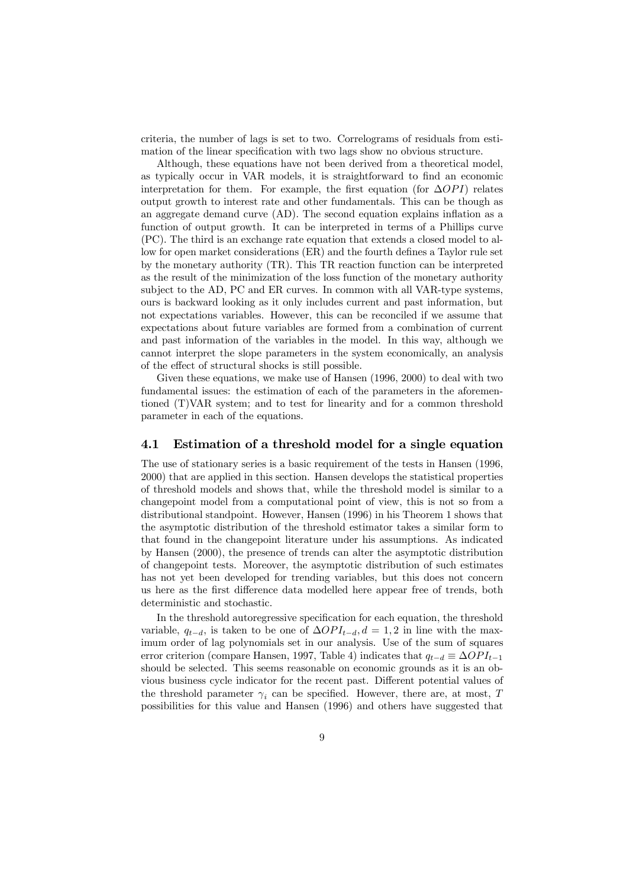criteria, the number of lags is set to two. Correlograms of residuals from estimation of the linear specification with two lags show no obvious structure.

Although, these equations have not been derived from a theoretical model, as typically occur in VAR models, it is straightforward to find an economic interpretation for them. For example, the first equation (for  $\Delta$ OPI) relates output growth to interest rate and other fundamentals. This can be though as an aggregate demand curve (AD). The second equation explains inflation as a function of output growth. It can be interpreted in terms of a Phillips curve (PC). The third is an exchange rate equation that extends a closed model to allow for open market considerations (ER) and the fourth defines a Taylor rule set by the monetary authority (TR). This TR reaction function can be interpreted as the result of the minimization of the loss function of the monetary authority subject to the AD, PC and ER curves. In common with all VAR-type systems, ours is backward looking as it only includes current and past information, but not expectations variables. However, this can be reconciled if we assume that expectations about future variables are formed from a combination of current and past information of the variables in the model. In this way, although we cannot interpret the slope parameters in the system economically, an analysis of the effect of structural shocks is still possible.

Given these equations, we make use of Hansen (1996, 2000) to deal with two fundamental issues: the estimation of each of the parameters in the aforementioned (T)VAR system; and to test for linearity and for a common threshold parameter in each of the equations.

#### 4.1 Estimation of a threshold model for a single equation

The use of stationary series is a basic requirement of the tests in Hansen (1996, 2000) that are applied in this section. Hansen develops the statistical properties of threshold models and shows that, while the threshold model is similar to a changepoint model from a computational point of view, this is not so from a distributional standpoint. However, Hansen (1996) in his Theorem 1 shows that the asymptotic distribution of the threshold estimator takes a similar form to that found in the changepoint literature under his assumptions. As indicated by Hansen (2000), the presence of trends can alter the asymptotic distribution of changepoint tests. Moreover, the asymptotic distribution of such estimates has not yet been developed for trending variables, but this does not concern us here as the first difference data modelled here appear free of trends, both deterministic and stochastic.

In the threshold autoregressive specification for each equation, the threshold variable,  $q_{t-d}$ , is taken to be one of  $\Delta OPI_{t-d}$ ,  $d = 1, 2$  in line with the maximum order of lag polynomials set in our analysis. Use of the sum of squares error criterion (compare Hansen, 1997, Table 4) indicates that  $q_{t-d} \equiv \Delta OPI_{t-1}$ should be selected. This seems reasonable on economic grounds as it is an obvious business cycle indicator for the recent past. Different potential values of the threshold parameter  $\gamma_i$  can be specified. However, there are, at most, T possibilities for this value and Hansen (1996) and others have suggested that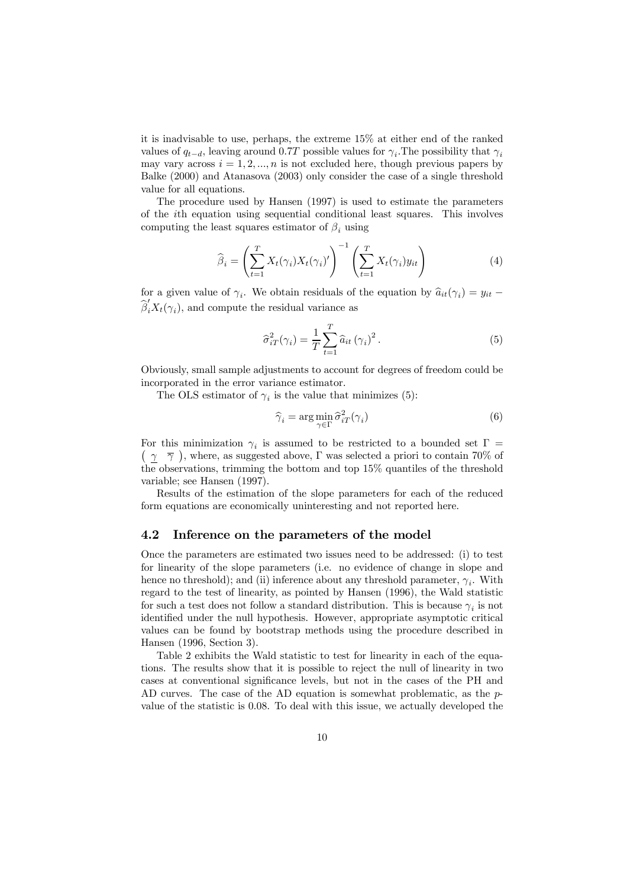it is inadvisable to use, perhaps, the extreme 15% at either end of the ranked values of  $q_{t-d}$ , leaving around 0.7T possible values for  $\gamma_i$ . The possibility that  $\gamma_i$ may vary across  $i = 1, 2, ..., n$  is not excluded here, though previous papers by Balke (2000) and Atanasova (2003) only consider the case of a single threshold value for all equations.

The procedure used by Hansen (1997) is used to estimate the parameters of the ith equation using sequential conditional least squares. This involves computing the least squares estimator of  $\beta_i$  using

$$
\widehat{\beta}_i = \left(\sum_{t=1}^T X_t(\gamma_i) X_t(\gamma_i)'\right)^{-1} \left(\sum_{t=1}^T X_t(\gamma_i) y_{it}\right)
$$
\n(4)

for a given value of  $\gamma_i$ . We obtain residuals of the equation by  $\hat{a}_{it}(\gamma_i) = y_{it} \widehat{\beta}'_i X_t(\gamma_i)$ , and compute the residual variance as

$$
\widehat{\sigma}_{iT}^2(\gamma_i) = \frac{1}{T} \sum_{t=1}^T \widehat{a}_{it} (\gamma_i)^2.
$$
\n(5)

Obviously, small sample adjustments to account for degrees of freedom could be incorporated in the error variance estimator.

The OLS estimator of  $\gamma_i$  is the value that minimizes (5):

$$
\widehat{\gamma}_i = \arg\min_{\gamma \in \Gamma} \widehat{\sigma}_{iT}^2(\gamma_i)
$$
\n(6)

For this minimization  $\gamma_i$  is assumed to be restricted to a bounded set  $\Gamma =$  $(\gamma \bar{\gamma})$ , where, as suggested above, Γ was selected a priori to contain 70% of the observations, trimming the bottom and top 15% quantiles of the threshold variable; see Hansen (1997).

Results of the estimation of the slope parameters for each of the reduced form equations are economically uninteresting and not reported here.

#### 4.2 Inference on the parameters of the model

Once the parameters are estimated two issues need to be addressed: (i) to test for linearity of the slope parameters (i.e. no evidence of change in slope and hence no threshold); and (ii) inference about any threshold parameter,  $\gamma_i$ . With regard to the test of linearity, as pointed by Hansen (1996), the Wald statistic for such a test does not follow a standard distribution. This is because  $\gamma_i$  is not identified under the null hypothesis. However, appropriate asymptotic critical values can be found by bootstrap methods using the procedure described in Hansen (1996, Section 3).

Table 2 exhibits the Wald statistic to test for linearity in each of the equations. The results show that it is possible to reject the null of linearity in two cases at conventional significance levels, but not in the cases of the PH and AD curves. The case of the AD equation is somewhat problematic, as the pvalue of the statistic is 0.08. To deal with this issue, we actually developed the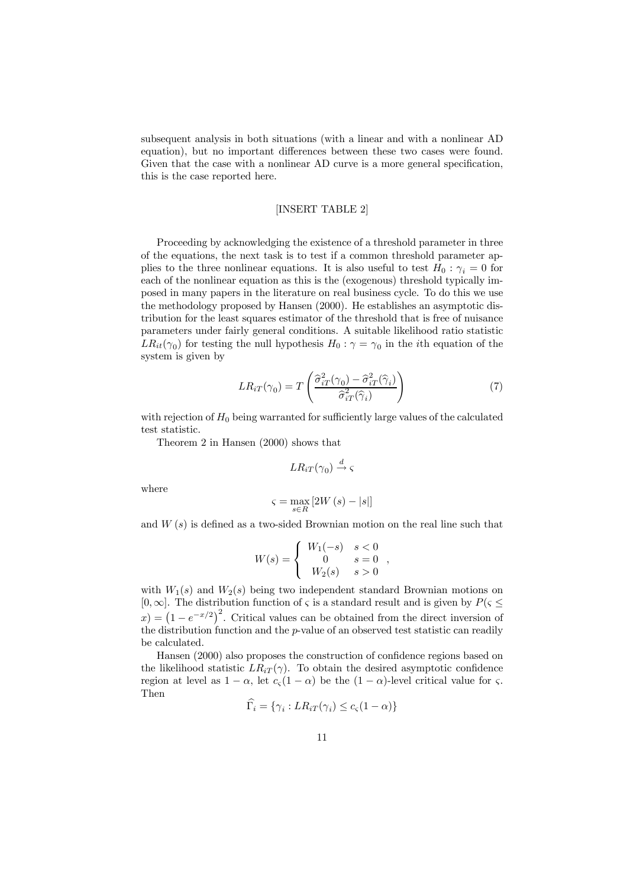subsequent analysis in both situations (with a linear and with a nonlinear AD equation), but no important differences between these two cases were found. Given that the case with a nonlinear AD curve is a more general specification, this is the case reported here.

#### [INSERT TABLE 2]

Proceeding by acknowledging the existence of a threshold parameter in three of the equations, the next task is to test if a common threshold parameter applies to the three nonlinear equations. It is also useful to test  $H_0$ :  $\gamma_i = 0$  for each of the nonlinear equation as this is the (exogenous) threshold typically imposed in many papers in the literature on real business cycle. To do this we use the methodology proposed by Hansen (2000). He establishes an asymptotic distribution for the least squares estimator of the threshold that is free of nuisance parameters under fairly general conditions. A suitable likelihood ratio statistic  $LR_{it}(\gamma_0)$  for testing the null hypothesis  $H_0 : \gamma = \gamma_0$  in the *i*th equation of the system is given by

$$
LR_{iT}(\gamma_0) = T\left(\frac{\widehat{\sigma}_{iT}^2(\gamma_0) - \widehat{\sigma}_{iT}^2(\widehat{\gamma}_i)}{\widehat{\sigma}_{iT}^2(\widehat{\gamma}_i)}\right) \tag{7}
$$

with rejection of  $H_0$  being warranted for sufficiently large values of the calculated test statistic.

Theorem 2 in Hansen (2000) shows that

$$
LR_{iT}(\gamma_0) \stackrel{d}{\rightarrow} \varsigma
$$

where

$$
\varsigma = \max_{s \in R} \left[ 2W\left(s\right) - \left|s\right| \right]
$$

and  $W(s)$  is defined as a two-sided Brownian motion on the real line such that

$$
W(s) = \begin{cases} W_1(-s) & s < 0 \\ 0 & s = 0 \\ W_2(s) & s > 0 \end{cases}
$$

with  $W_1(s)$  and  $W_2(s)$  being two independent standard Brownian motions on [0,∞]. The distribution function of  $\varsigma$  is a standard result and is given by  $P(\varsigma \leq \varsigma)$  $f(x) = (1 - e^{-x/2})^2$ . Critical values can be obtained from the direct inversion of the distribution function and the p-value of an observed test statistic can readily be calculated.

Hansen (2000) also proposes the construction of confidence regions based on the likelihood statistic  $LR_{iT}(\gamma)$ . To obtain the desired asymptotic confidence region at level as  $1 - \alpha$ , let  $c_{\varsigma}(1 - \alpha)$  be the  $(1 - \alpha)$ -level critical value for  $\varsigma$ . Then

$$
\Gamma_i = \{ \gamma_i : LR_{iT}(\gamma_i) \le c_{\varsigma} (1 - \alpha) \}
$$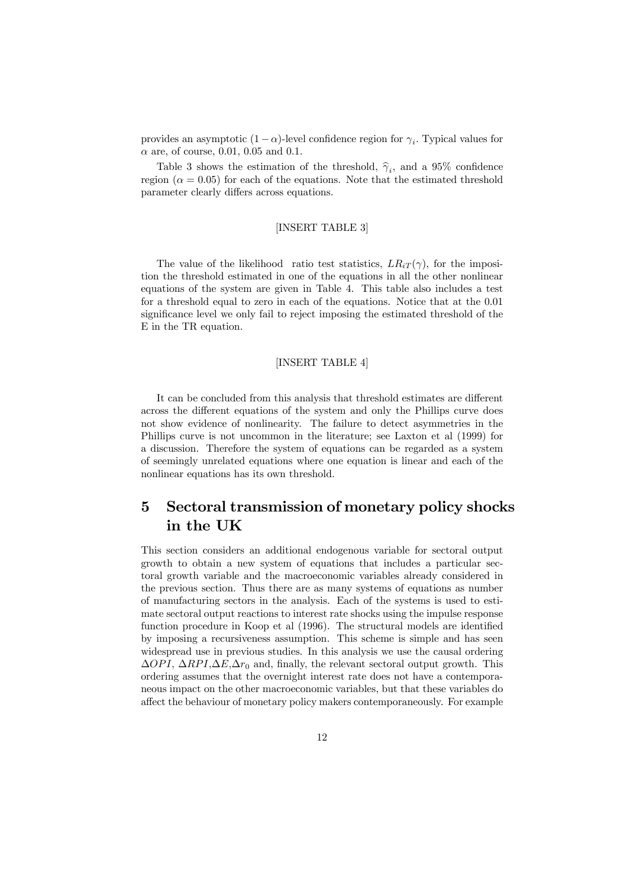provides an asymptotic  $(1 - \alpha)$ -level confidence region for  $\gamma_i$ . Typical values for  $\alpha$  are, of course, 0.01, 0.05 and 0.1.

Table 3 shows the estimation of the threshold,  $\hat{\gamma}_i$ , and a 95% confidence region ( $\alpha = 0.05$ ) for each of the equations. Note that the estimated threshold parameter clearly differs across equations.

### [INSERT TABLE 3]

The value of the likelihood ratio test statistics,  $LR_{iT}(\gamma)$ , for the imposition the threshold estimated in one of the equations in all the other nonlinear equations of the system are given in Table 4. This table also includes a test for a threshold equal to zero in each of the equations. Notice that at the 0.01 significance level we only fail to reject imposing the estimated threshold of the E in the TR equation.

#### [INSERT TABLE 4]

It can be concluded from this analysis that threshold estimates are different across the different equations of the system and only the Phillips curve does not show evidence of nonlinearity. The failure to detect asymmetries in the Phillips curve is not uncommon in the literature; see Laxton et al (1999) for a discussion. Therefore the system of equations can be regarded as a system of seemingly unrelated equations where one equation is linear and each of the nonlinear equations has its own threshold.

# 5 Sectoral transmission of monetary policy shocks in the UK

This section considers an additional endogenous variable for sectoral output growth to obtain a new system of equations that includes a particular sectoral growth variable and the macroeconomic variables already considered in the previous section. Thus there are as many systems of equations as number of manufacturing sectors in the analysis. Each of the systems is used to estimate sectoral output reactions to interest rate shocks using the impulse response function procedure in Koop et al (1996). The structural models are identified by imposing a recursiveness assumption. This scheme is simple and has seen widespread use in previous studies. In this analysis we use the causal ordering  $\Delta$ OPI,  $\Delta$ RPI, $\Delta E$ , $\Delta r_0$  and, finally, the relevant sectoral output growth. This ordering assumes that the overnight interest rate does not have a contemporaneous impact on the other macroeconomic variables, but that these variables do affect the behaviour of monetary policy makers contemporaneously. For example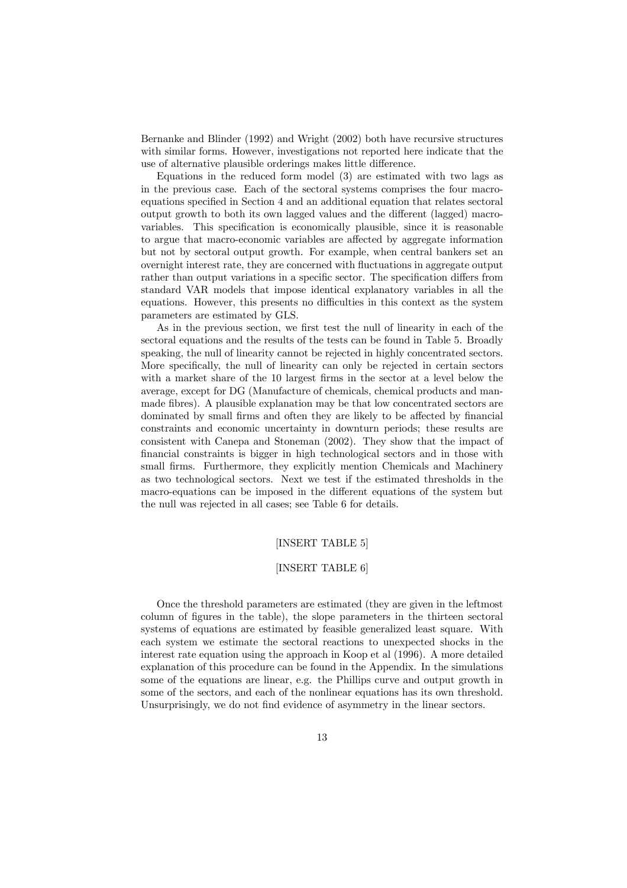Bernanke and Blinder (1992) and Wright (2002) both have recursive structures with similar forms. However, investigations not reported here indicate that the use of alternative plausible orderings makes little difference.

Equations in the reduced form model (3) are estimated with two lags as in the previous case. Each of the sectoral systems comprises the four macroequations specified in Section 4 and an additional equation that relates sectoral output growth to both its own lagged values and the different (lagged) macrovariables. This specification is economically plausible, since it is reasonable to argue that macro-economic variables are affected by aggregate information but not by sectoral output growth. For example, when central bankers set an overnight interest rate, they are concerned with fluctuations in aggregate output rather than output variations in a specific sector. The specification differs from standard VAR models that impose identical explanatory variables in all the equations. However, this presents no difficulties in this context as the system parameters are estimated by GLS.

As in the previous section, we first test the null of linearity in each of the sectoral equations and the results of the tests can be found in Table 5. Broadly speaking, the null of linearity cannot be rejected in highly concentrated sectors. More specifically, the null of linearity can only be rejected in certain sectors with a market share of the 10 largest firms in the sector at a level below the average, except for DG (Manufacture of chemicals, chemical products and manmade fibres). A plausible explanation may be that low concentrated sectors are dominated by small firms and often they are likely to be affected by financial constraints and economic uncertainty in downturn periods; these results are consistent with Canepa and Stoneman (2002). They show that the impact of financial constraints is bigger in high technological sectors and in those with small firms. Furthermore, they explicitly mention Chemicals and Machinery as two technological sectors. Next we test if the estimated thresholds in the macro-equations can be imposed in the different equations of the system but the null was rejected in all cases; see Table 6 for details.

### [INSERT TABLE 5]

#### [INSERT TABLE 6]

Once the threshold parameters are estimated (they are given in the leftmost column of figures in the table), the slope parameters in the thirteen sectoral systems of equations are estimated by feasible generalized least square. With each system we estimate the sectoral reactions to unexpected shocks in the interest rate equation using the approach in Koop et al (1996). A more detailed explanation of this procedure can be found in the Appendix. In the simulations some of the equations are linear, e.g. the Phillips curve and output growth in some of the sectors, and each of the nonlinear equations has its own threshold. Unsurprisingly, we do not find evidence of asymmetry in the linear sectors.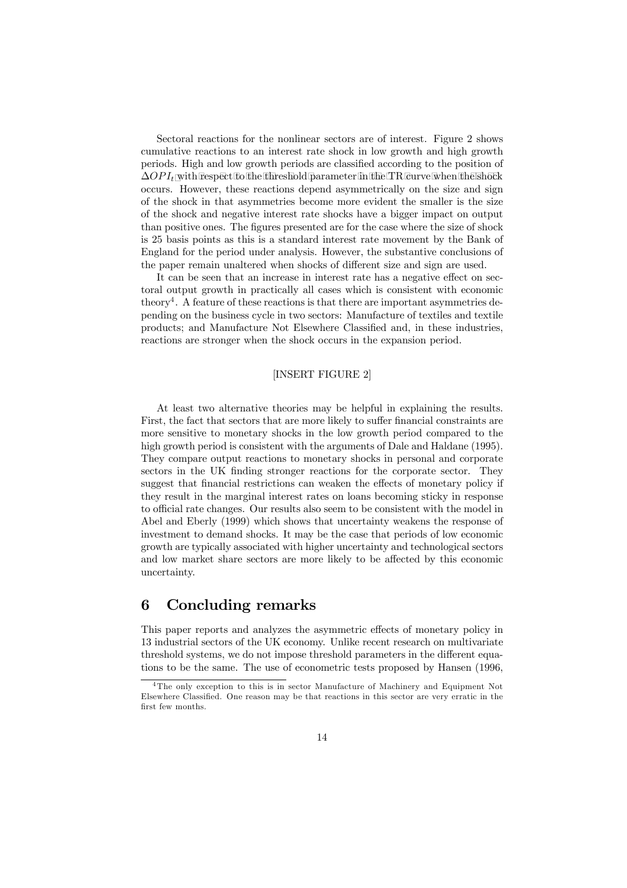Sectoral reactions for the nonlinear sectors are of interest. Figure 2 shows cumulative reactions to an interest rate shock in low growth and high growth periods. High and low growth periods are classified according to the position of  $\Delta OPI_t$  with respect to the threshold parameter in the TR curve when the shock occurs. However, these reactions depend asymmetrically on the size and sign of the shock in that asymmetries become more evident the smaller is the size of the shock and negative interest rate shocks have a bigger impact on output than positive ones. The figures presented are for the case where the size of shock is 25 basis points as this is a standard interest rate movement by the Bank of England for the period under analysis. However, the substantive conclusions of the paper remain unaltered when shocks of different size and sign are used.

It can be seen that an increase in interest rate has a negative effect on sectoral output growth in practically all cases which is consistent with economic theory<sup>4</sup>. A feature of these reactions is that there are important asymmetries depending on the business cycle in two sectors: Manufacture of textiles and textile products; and Manufacture Not Elsewhere Classified and, in these industries, reactions are stronger when the shock occurs in the expansion period.

### [INSERT FIGURE 2]

At least two alternative theories may be helpful in explaining the results. First, the fact that sectors that are more likely to suffer financial constraints are more sensitive to monetary shocks in the low growth period compared to the high growth period is consistent with the arguments of Dale and Haldane (1995). They compare output reactions to monetary shocks in personal and corporate sectors in the UK finding stronger reactions for the corporate sector. They suggest that financial restrictions can weaken the effects of monetary policy if they result in the marginal interest rates on loans becoming sticky in response to official rate changes. Our results also seem to be consistent with the model in Abel and Eberly (1999) which shows that uncertainty weakens the response of investment to demand shocks. It may be the case that periods of low economic growth are typically associated with higher uncertainty and technological sectors and low market share sectors are more likely to be affected by this economic uncertainty.

### 6 Concluding remarks

This paper reports and analyzes the asymmetric effects of monetary policy in 13 industrial sectors of the UK economy. Unlike recent research on multivariate threshold systems, we do not impose threshold parameters in the different equations to be the same. The use of econometric tests proposed by Hansen (1996,

<sup>&</sup>lt;sup>4</sup>The only exception to this is in sector Manufacture of Machinery and Equipment Not Elsewhere Classified. One reason may be that reactions in this sector are very erratic in the first few months.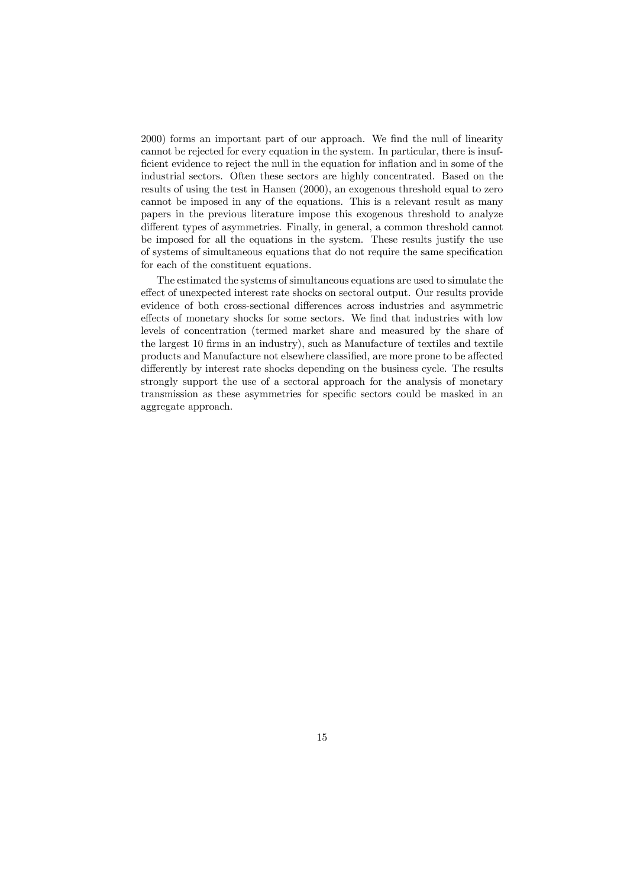2000) forms an important part of our approach. We find the null of linearity cannot be rejected for every equation in the system. In particular, there is insufficient evidence to reject the null in the equation for inflation and in some of the industrial sectors. Often these sectors are highly concentrated. Based on the results of using the test in Hansen (2000), an exogenous threshold equal to zero cannot be imposed in any of the equations. This is a relevant result as many papers in the previous literature impose this exogenous threshold to analyze different types of asymmetries. Finally, in general, a common threshold cannot be imposed for all the equations in the system. These results justify the use of systems of simultaneous equations that do not require the same specification for each of the constituent equations.

The estimated the systems of simultaneous equations are used to simulate the effect of unexpected interest rate shocks on sectoral output. Our results provide evidence of both cross-sectional differences across industries and asymmetric effects of monetary shocks for some sectors. We find that industries with low levels of concentration (termed market share and measured by the share of the largest 10 firms in an industry), such as Manufacture of textiles and textile products and Manufacture not elsewhere classified, are more prone to be affected differently by interest rate shocks depending on the business cycle. The results strongly support the use of a sectoral approach for the analysis of monetary transmission as these asymmetries for specific sectors could be masked in an aggregate approach.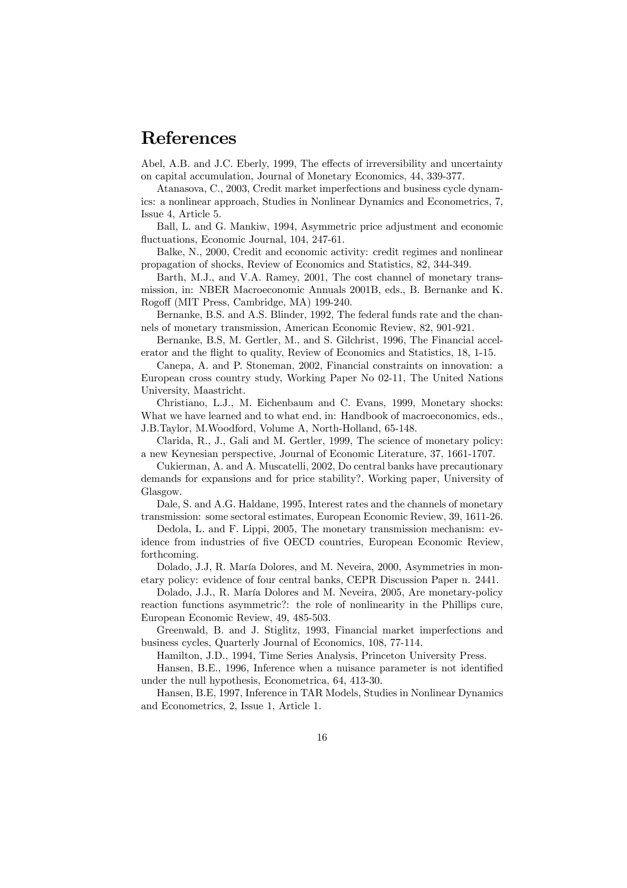# References

Abel, A.B. and J.C. Eberly, 1999, The effects of irreversibility and uncertainty on capital accumulation, Journal of Monetary Economics, 44, 339-377.

Atanasova, C., 2003, Credit market imperfections and business cycle dynamics: a nonlinear approach, Studies in Nonlinear Dynamics and Econometrics, 7, Issue 4, Article 5.

Ball, L. and G. Mankiw, 1994, Asymmetric price adjustment and economic fluctuations, Economic Journal, 104, 247-61.

Balke, N., 2000, Credit and economic activity: credit regimes and nonlinear propagation of shocks, Review of Economics and Statistics, 82, 344-349.

Barth, M.J., and V.A. Ramey, 2001, The cost channel of monetary transmission, in: NBER Macroeconomic Annuals 2001B, eds., B. Bernanke and K. Rogoff (MIT Press, Cambridge, MA) 199-240.

Bernanke, B.S. and A.S. Blinder, 1992, The federal funds rate and the channels of monetary transmission, American Economic Review, 82, 901-921.

Bernanke, B.S, M. Gertler, M., and S. Gilchrist, 1996, The Financial accelerator and the flight to quality, Review of Economics and Statistics, 18, 1-15.

Canepa, A. and P. Stoneman, 2002, Financial constraints on innovation: a European cross country study, Working Paper No 02-11, The United Nations University, Maastricht.

Christiano, L.J., M. Eichenbaum and C. Evans, 1999, Monetary shocks: What we have learned and to what end, in: Handbook of macroeconomics, eds., J.B.Taylor, M.Woodford, Volume A, North-Holland, 65-148.

Clarida, R., J., Gali and M. Gertler, 1999, The science of monetary policy: a new Keynesian perspective, Journal of Economic Literature, 37, 1661-1707.

Cukierman, A. and A. Muscatelli, 2002, Do central banks have precautionary demands for expansions and for price stability?, Working paper, University of Glasgow.

Dale, S. and A.G. Haldane, 1995, Interest rates and the channels of monetary transmission: some sectoral estimates, European Economic Review, 39, 1611-26.

Dedola, L. and F. Lippi, 2005, The monetary transmission mechanism: evidence from industries of five OECD countries, European Economic Review, forthcoming.

Dolado, J.J, R. María Dolores, and M. Neveira, 2000, Asymmetries in monetary policy: evidence of four central banks, CEPR Discussion Paper n. 2441.

Dolado, J.J., R. María Dolores and M. Neveira, 2005, Are monetary-policy reaction functions asymmetric?: the role of nonlinearity in the Phillips cure, European Economic Review, 49, 485-503.

Greenwald, B. and J. Stiglitz, 1993, Financial market imperfections and business cycles, Quarterly Journal of Economics, 108, 77-114.

Hamilton, J.D., 1994, Time Series Analysis, Princeton University Press.

Hansen, B.E., 1996, Inference when a nuisance parameter is not identified under the null hypothesis, Econometrica, 64, 413-30.

Hansen, B.E, 1997, Inference in TAR Models, Studies in Nonlinear Dynamics and Econometrics, 2, Issue 1, Article 1.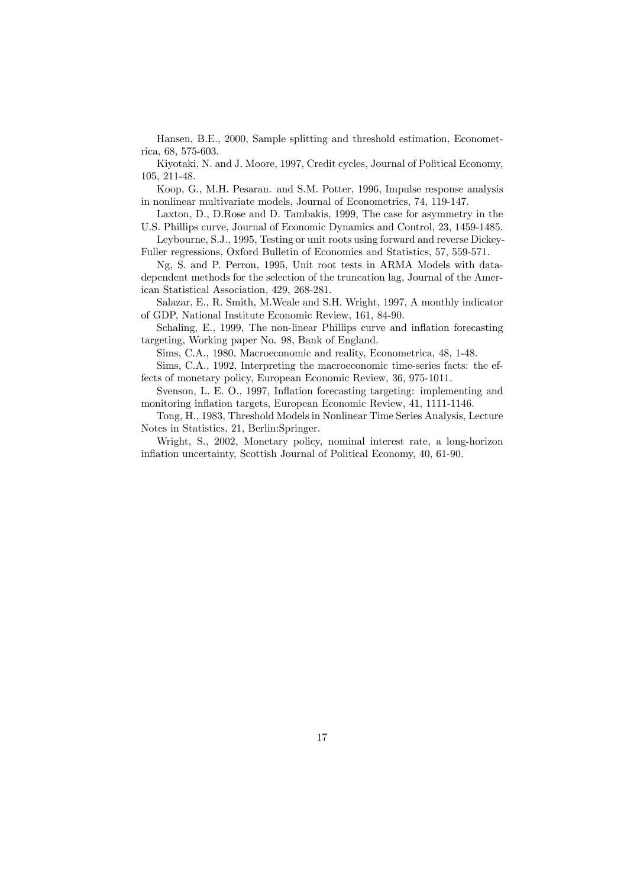Hansen, B.E., 2000, Sample splitting and threshold estimation, Econometrica, 68, 575-603.

Kiyotaki, N. and J. Moore, 1997, Credit cycles, Journal of Political Economy, 105, 211-48.

Koop, G., M.H. Pesaran. and S.M. Potter, 1996, Impulse response analysis in nonlinear multivariate models, Journal of Econometrics, 74, 119-147.

Laxton, D., D.Rose and D. Tambakis, 1999, The case for asymmetry in the U.S. Phillips curve, Journal of Economic Dynamics and Control, 23, 1459-1485.

Leybourne, S.J., 1995, Testing or unit roots using forward and reverse Dickey-Fuller regressions, Oxford Bulletin of Economics and Statistics, 57, 559-571.

Ng, S. and P. Perron, 1995, Unit root tests in ARMA Models with datadependent methods for the selection of the truncation lag, Journal of the American Statistical Association, 429, 268-281.

Salazar, E., R. Smith, M.Weale and S.H. Wright, 1997, A monthly indicator of GDP, National Institute Economic Review, 161, 84-90.

Schaling, E., 1999, The non-linear Phillips curve and inflation forecasting targeting, Working paper No. 98, Bank of England.

Sims, C.A., 1980, Macroeconomic and reality, Econometrica, 48, 1-48.

Sims, C.A., 1992, Interpreting the macroeconomic time-series facts: the effects of monetary policy, European Economic Review, 36, 975-1011.

Svenson, L. E. O., 1997, Inflation forecasting targeting: implementing and monitoring inflation targets, European Economic Review, 41, 1111-1146.

Tong, H., 1983, Threshold Models in Nonlinear Time Series Analysis, Lecture Notes in Statistics, 21, Berlin:Springer.

Wright, S., 2002, Monetary policy, nominal interest rate, a long-horizon inflation uncertainty, Scottish Journal of Political Economy, 40, 61-90.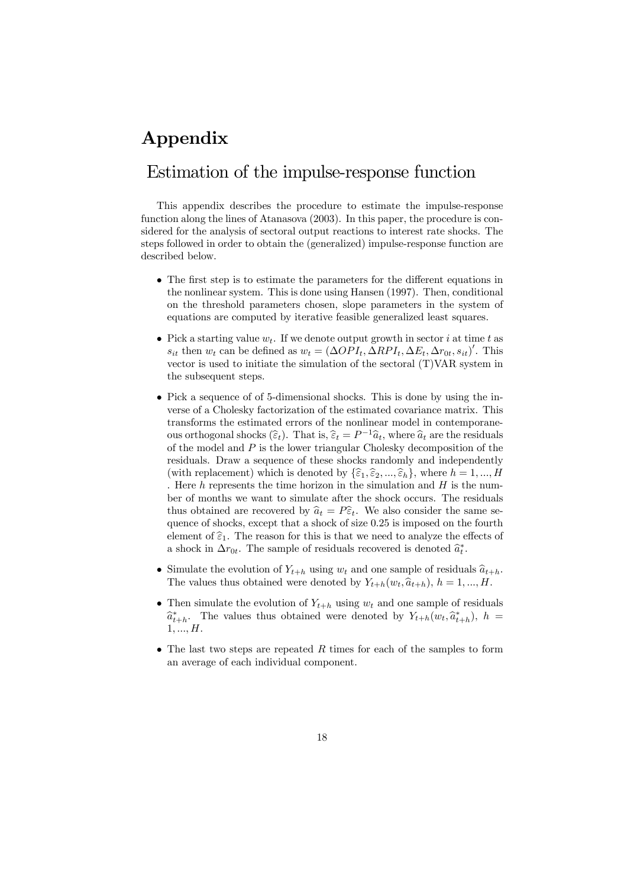# Appendix

# Estimation of the impulse-response function

This appendix describes the procedure to estimate the impulse-response function along the lines of Atanasova (2003). In this paper, the procedure is considered for the analysis of sectoral output reactions to interest rate shocks. The steps followed in order to obtain the (generalized) impulse-response function are described below.

- The first step is to estimate the parameters for the different equations in the nonlinear system. This is done using Hansen (1997). Then, conditional on the threshold parameters chosen, slope parameters in the system of equations are computed by iterative feasible generalized least squares.
- Pick a starting value  $w_t$ . If we denote output growth in sector i at time t as  $s_{it}$  then  $w_t$  can be defined as  $w_t = (\Delta OPI_t, \Delta RPI_t, \Delta E_t, \Delta r_{0t}, s_{it})'$ . This vector is used to initiate the simulation of the sectoral (T)VAR system in the subsequent steps.
- Pick a sequence of of 5-dimensional shocks. This is done by using the inverse of a Cholesky factorization of the estimated covariance matrix. This transforms the estimated errors of the nonlinear model in contemporaneous orthogonal shocks  $(\widehat{\epsilon}_t)$ . That is,  $\widehat{\epsilon}_t = P^{-1}\widehat{a}_t$ , where  $\widehat{a}_t$  are the residuals of the model and  $P$  is the lower triangular Cholesky decomposition of the residuals. Draw a sequence of these shocks randomly and independently (with replacement) which is denoted by  $\{\widehat{\varepsilon}_1,\widehat{\varepsilon}_2, ..., \widehat{\varepsilon}_h\}$ , where  $h = 1, ..., H$ . Here  $h$  represents the time horizon in the simulation and  $H$  is the number of months we want to simulate after the shock occurs. The residuals thus obtained are recovered by  $\hat{a}_t = P\hat{\epsilon}_t$ . We also consider the same sequence of shocks, except that a shock of size 0.25 is imposed on the fourth element of  $\hat{\epsilon}_1$ . The reason for this is that we need to analyze the effects of a shock in  $\Delta r_{0t}$ . The sample of residuals recovered is denoted  $\hat{a}_t^*$ .
- Simulate the evolution of  $Y_{t+h}$  using  $w_t$  and one sample of residuals  $\hat{a}_{t+h}$ . The values thus obtained were denoted by  $Y_{t+h}(w_t, \hat{a}_{t+h}), h = 1, ..., H$ .
- Then simulate the evolution of  $Y_{t+h}$  using  $w_t$  and one sample of residuals  $\hat{a}_{t+h}^*$ . The values thus obtained were denoted by  $Y_{t+h}(w_t, \hat{a}_{t+h}^*)$ ,  $h =$  $1, ..., H$ .
- The last two steps are repeated  $R$  times for each of the samples to form an average of each individual component.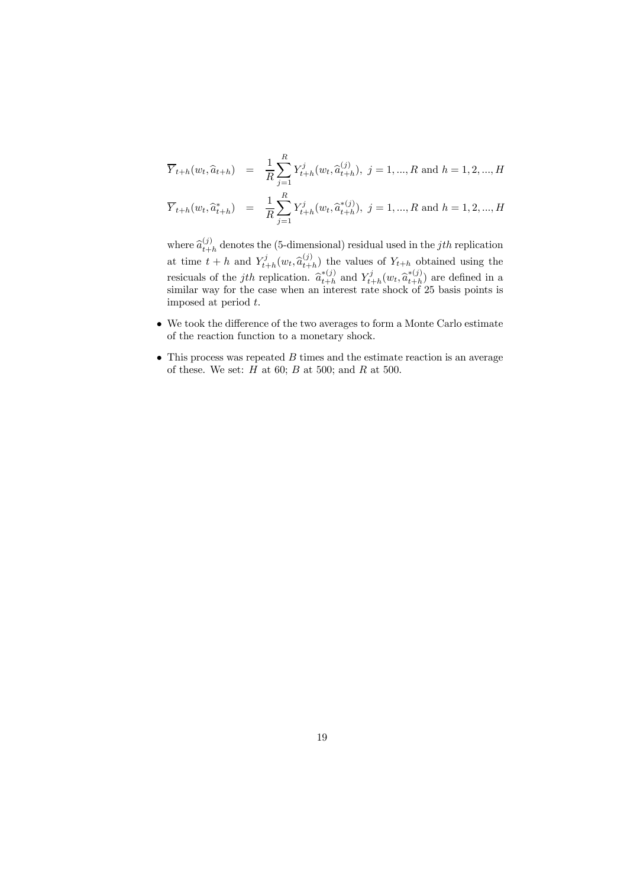$$
\overline{Y}_{t+h}(w_t, \hat{a}_{t+h}) = \frac{1}{R} \sum_{j=1}^R Y_{t+h}^j(w_t, \hat{a}_{t+h}^{(j)}), j = 1, ..., R \text{ and } h = 1, 2, ..., H
$$
\n
$$
\overline{Y}_{t+h}(w_t, \hat{a}_{t+h}^*) = \frac{1}{R} \sum_{j=1}^R Y_{t+h}^j(w_t, \hat{a}_{t+h}^{*(j)}), j = 1, ..., R \text{ and } h = 1, 2, ..., H
$$

where  $\hat{a}_{t+h}^{(j)}$  denotes the (5-dimensional) residual used in the *jth* replication at time  $t + h$  and  $Y_{t+h}^j(w_t, \hat{a}_{t+h}^{(j)})$  the values of  $Y_{t+h}$  obtained using the resicuals of the *j*th replication.  $\hat{a}_{t+h}^{*(j)}$  and  $Y_{t+h}^j(w_t, \hat{a}_{t+h}^{*(j)})$  are defined in a similar way for the case when an interest rate shock of 25 basis points is imposed at period t.

- We took the difference of the two averages to form a Monte Carlo estimate of the reaction function to a monetary shock.
- $\bullet$  This process was repeated  $B$  times and the estimate reaction is an average of these. We set:  $H$  at 60;  $B$  at 500; and  $R$  at 500.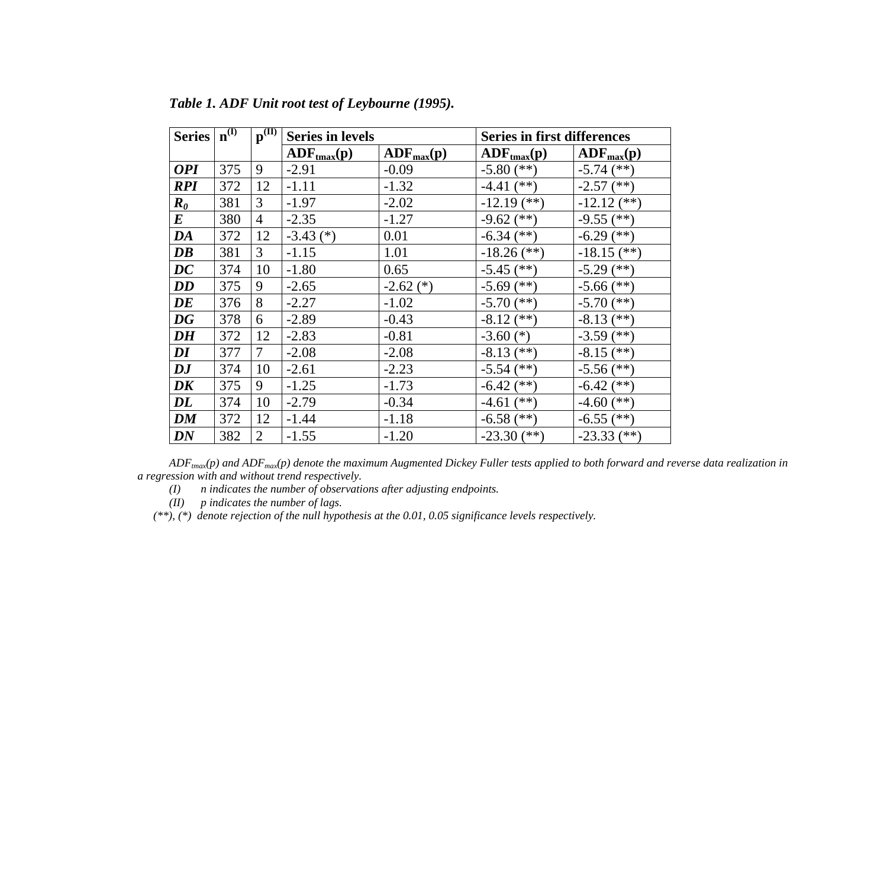| <b>Series</b>                          | $n^{(I)}$ | $\mathbf{p}^{(\mathbf{I})}$ | <b>Series in levels</b>        |                     | <b>Series in first differences</b> |                     |
|----------------------------------------|-----------|-----------------------------|--------------------------------|---------------------|------------------------------------|---------------------|
|                                        |           |                             | $\bf{ADF}_{\rm{tmax}}(\bf{p})$ | $\bf{ADF}_{max}(p)$ | $\bf{ADF}_{tmax}(p)$               | $\bf{ADF}_{max}(p)$ |
| <b>OPI</b>                             | 375       | 9                           | $-2.91$                        | $-0.09$             | $-5.80$ (**)                       | $-5.74$ (**)        |
| <b>RPI</b>                             | 372       | 12                          | $-1.11$                        | $-1.32$             | $-4.41$ (**)                       | $-2.57$ (**)        |
| $\boldsymbol{R}_{\boldsymbol{\theta}}$ | 381       | 3                           | $-1.97$                        | $-2.02$             | $-12.19$ (**)                      | $-12.12$ (**)       |
| $\bm{E}$                               | 380       | $\overline{4}$              | $-2.35$                        | $-1.27$             | $-9.62$ (**)                       | $-9.55$ (**)        |
| DA                                     | 372       | 12                          | $-3.43$ (*)                    | 0.01                | $-6.34$ (**)                       | $-6.29$ (**)        |
| $\boldsymbol{D}\boldsymbol{B}$         | 381       | 3                           | $-1.15$                        | 1.01                | $-18.26$ (**)                      | $-18.15$ (**)       |
| $\bm{D}\bm{C}$                         | 374       | 10                          | $-1.80$                        | 0.65                | $-5.45$ (**)                       | $-5.29$ (**)        |
| <b>DD</b>                              | 375       | 9                           | $-2.65$                        | $-2.62$ (*)         | $-5.69$ (**)                       | $-5.66$ (**)        |
| DE                                     | 376       | 8                           | $-2.27$                        | $-1.02$             | $-5.70$ (**)                       | $-5.70$ (**)        |
| <b>DG</b>                              | 378       | 6                           | $-2.89$                        | $-0.43$             | $-8.12$ (**)                       | $-8.13$ (**)        |
| <b>DH</b>                              | 372       | 12                          | $-2.83$                        | $-0.81$             | $-3.60$ (*)                        | $-3.59$ (**)        |
| $\bm{DI}$                              | 377       | $\overline{7}$              | $-2.08$                        | $-2.08$             | $-8.13$ (**)                       | $-8.15$ (**)        |
| $\boldsymbol{D} \boldsymbol{J}$        | 374       | 10                          | $-2.61$                        | $-2.23$             | $-5.54$ (**)                       | $-5.56$ (**)        |
| DK                                     | 375       | 9                           | $-1.25$                        | $-1.73$             | $-6.42$ (**)                       | $-6.42$ (**)        |
| $\bm{DL}$                              | 374       | 10                          | $-2.79$                        | $-0.34$             | $-4.61$ (**)                       | $-4.60$ (**)        |
| DM                                     | 372       | 12                          | $-1.44$                        | $-1.18$             | $-6.58$ (**)                       | $-6.55$ (**)        |
| <b>DN</b>                              | 382       | $\overline{2}$              | $-1.55$                        | $-1.20$             | $-23.30$ (**)                      | $-23.33$ (**)       |

*Table 1. ADF Unit root test of Leybourne (1995).* 

*ADFtmax(p) and ADFmax(p) denote the maximum Augmented Dickey Fuller tests applied to both forward and reverse data realization in a regression with and without trend respectively.* 

*(I) n indicates the number of observations after adjusting endpoints.* 

*(II) p indicates the number of lags.* 

*(\*\*), (\*) denote rejection of the null hypothesis at the 0.01, 0.05 significance levels respectively.*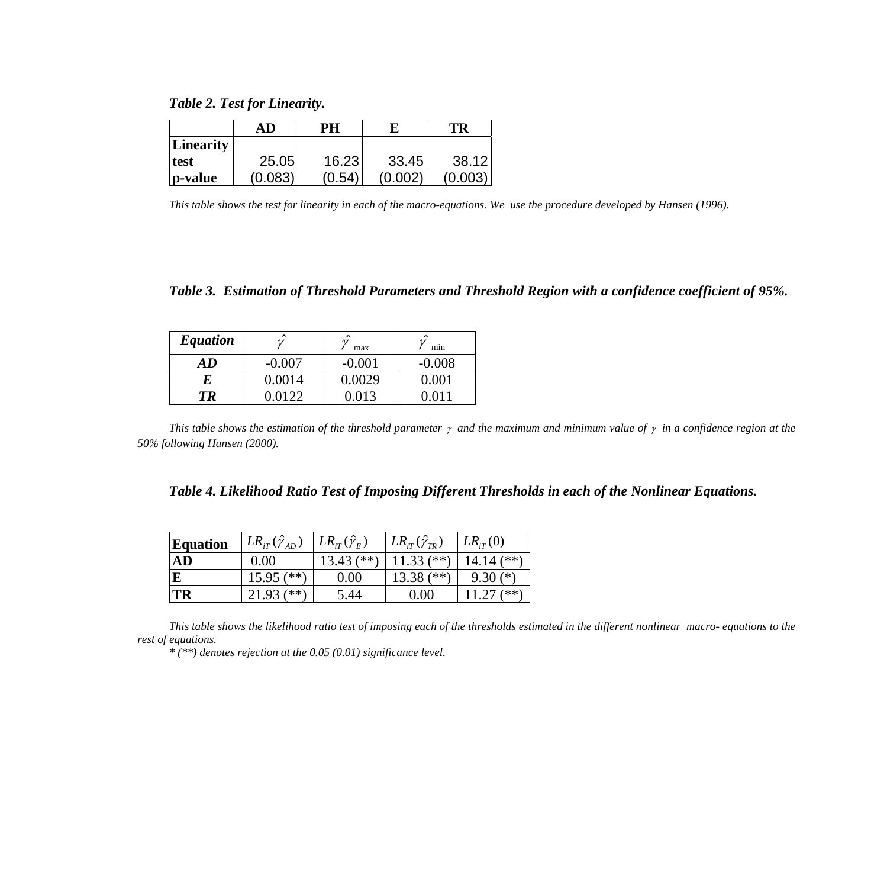*Table 2. Test for Linearity.* 

|             | AD      | PH                        |       | TR      |
|-------------|---------|---------------------------|-------|---------|
| Linearity   |         |                           |       |         |
| <b>test</b> | 25.05   | 16.23                     | 33.45 | 38.12   |
| p-value     | (0.083) | $^{\prime} 0.54^{\prime}$ |       | (0.003) |

*This table shows the test for linearity in each of the macro-equations. We use the procedure developed by Hansen (1996).* 

*Table 3. Estimation of Threshold Parameters and Threshold Region with a confidence coefficient of 95%.* 

| <b>Equation</b> | ㅅ        | ⌒<br>max | min      |
|-----------------|----------|----------|----------|
| AD              | $-0.007$ | $-0.001$ | $-0.008$ |
| F.              | 0.0014   | 0.0029   | (1)(1)   |
| T R             | 0122     |          |          |

*This table shows the estimation of the threshold parameter* γ *and the maximum and minimum value of* γ *in a confidence region at the 50% following Hansen (2000).* 

| Table 4. Likelihood Ratio Test of Imposing Different Thresholds in each of the Nonlinear Equations. |  |  |
|-----------------------------------------------------------------------------------------------------|--|--|
|                                                                                                     |  |  |

| <b>Equation</b> | $LR_{iT}(\hat{\gamma}_{AD})$ | $LR_{iT}(\hat{\gamma}_E)$ | $LR_{iT}(\hat{\gamma}_{TR})$ | $LR_{iT}(0)$ |
|-----------------|------------------------------|---------------------------|------------------------------|--------------|
| AD              | 0.00                         | $13.43$ (**)              | $11.33$ (**)                 | $14.14$ (**) |
| E               | $15.95$ (**)                 | 0.00                      | 13.38 $(**)$                 | $9.30(*)$    |
| TR              | $(**)$<br>21.93 (            | 5.44                      | (0.00)                       | **`          |

*This table shows the likelihood ratio test of imposing each of the thresholds estimated in the different nonlinear macro- equations to the rest of equations.* 

*\* (\*\*) denotes rejection at the 0.05 (0.01) significance level.*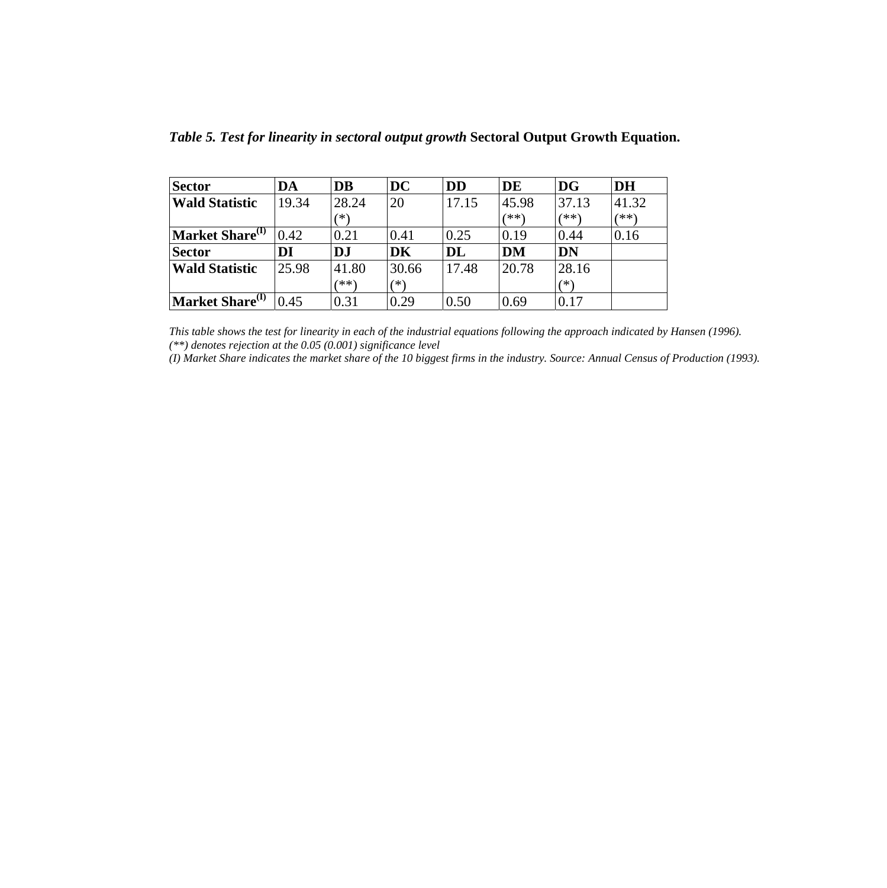| <b>Sector</b>               | DA    | <b>DB</b> | <b>DC</b> | <b>DD</b> | DE    | <b>DG</b> | <b>DH</b> |
|-----------------------------|-------|-----------|-----------|-----------|-------|-----------|-----------|
| <b>Wald Statistic</b>       | 19.34 | 28.24     | 20        | 17.15     | 45.98 | 37.13     | 41.32     |
|                             |       |           |           |           | (**)  | (**)      | (**)      |
| Market Share <sup>(I)</sup> | 0.42  | 0.21      | 0.41      | 0.25      | 0.19  | 0.44      | 0.16      |
| <b>Sector</b>               | DI    | <b>DJ</b> | <b>DK</b> | DL        | DM    | <b>DN</b> |           |
| <b>Wald Statistic</b>       | 25.98 | 41.80     | 30.66     | 17.48     | 20.78 | 28.16     |           |
|                             |       | (米米)      | ′*)       |           |       | ′* \      |           |
| Market Share <sup>(I)</sup> | 0.45  | 0.31      | 0.29      | 0.50      | 0.69  | 0.17      |           |

*Table 5. Test for linearity in sectoral output growth* **Sectoral Output Growth Equation.** 

*This table shows the test for linearity in each of the industrial equations following the approach indicated by Hansen (1996). (\*\*) denotes rejection at the 0.05 (0.001) significance level* 

*(I) Market Share indicates the market share of the 10 biggest firms in the industry. Source: Annual Census of Production (1993).*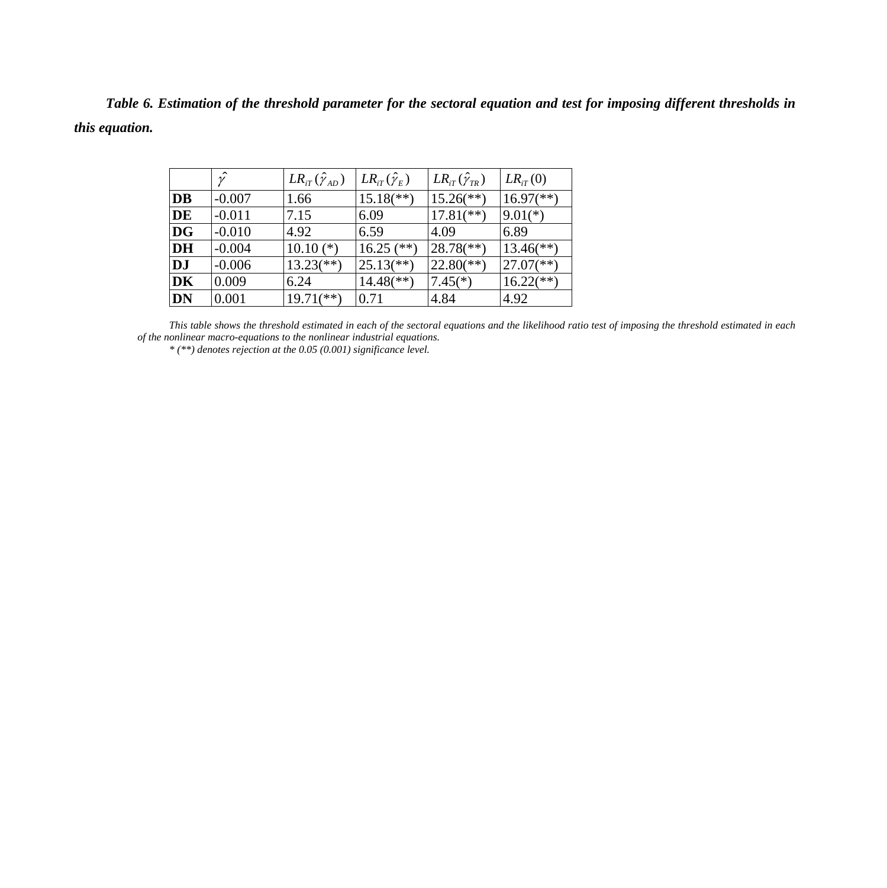*Table 6. Estimation of the threshold parameter for the sectoral equation and test for imposing different thresholds in this equation.* 

|           | $\hat{\mathscr{V}}$ | $LR_{iT}(\hat{\gamma}_{AD})$ | $LR_{iT}(\hat{\gamma}_E)$ | $LR_{iT}(\hat{\gamma}_{TR})$ | $LR_{iT}(0)$              |
|-----------|---------------------|------------------------------|---------------------------|------------------------------|---------------------------|
| <b>DB</b> | $-0.007$            | 1.66                         | $15.18$ <sup>**</sup> )   | $15.26$ <sup>(**)</sup> )    | $16.97$ <sup>(**)</sup> ) |
| <b>DE</b> | $-0.011$            | 7.15                         | 6.09                      | $17.81$ <sup>(**)</sup> )    | $9.01(*)$                 |
| <b>DG</b> | $-0.010$            | 4.92                         | 6.59                      | 4.09                         | 6.89                      |
| DH        | $-0.004$            | $10.10$ (*)                  | $16.25$ (**)              | $28.78$ <sup>(**)</sup> )    | $13.46$ <sup>(**)</sup> ) |
| <b>DJ</b> | $-0.006$            | $13.23$ <sup>(**)</sup> )    | $25.13$ <sup>**</sup> )   | $22.80$ <sup>(**)</sup> )    | $27.07$ <sup>(**)</sup> ) |
| DK        | 0.009               | 6.24                         | $14.48$ <sup>(**)</sup> ) | $7.45(*)$                    | $16.22$ <sup>**</sup> )   |
| <b>DN</b> | 0.001               | $19.71$ (**)                 | 0.71                      | 4.84                         | 4.92                      |

*This table shows the threshold estimated in each of the sectoral equations and the likelihood ratio test of imposing the threshold estimated in each of the nonlinear macro-equations to the nonlinear industrial equations.* 

*\* (\*\*) denotes rejection at the 0.05 (0.001) significance level.*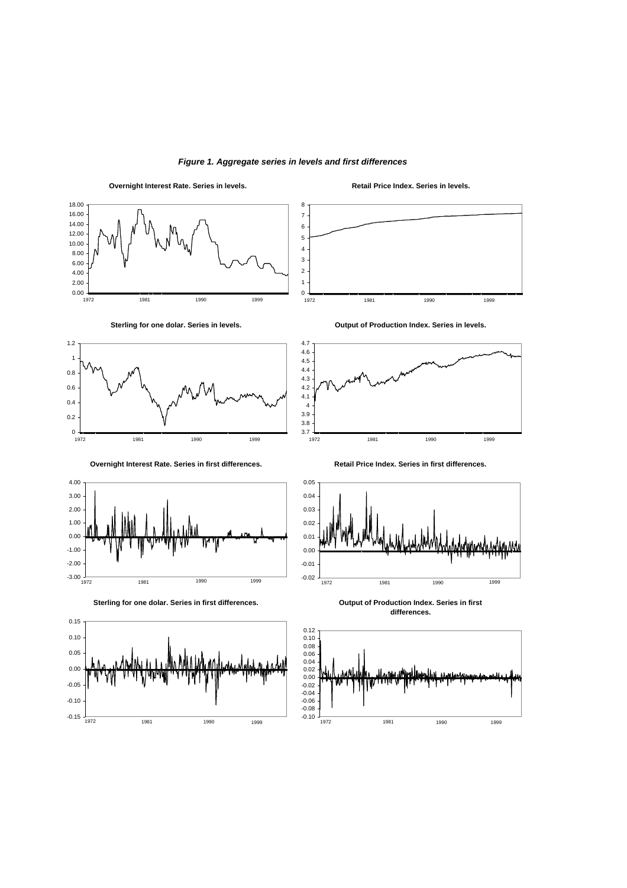

**Overnight Interest Rate. Series in levels.**







**Overnight Interest Rate. Series in first differences.**



**Sterling for one dolar. Series in first differences.**



**Retail Price Index. Series in levels.**







**Retail Price Index. Series in first differences.**



**Output of Production Index. Series in first differences.**

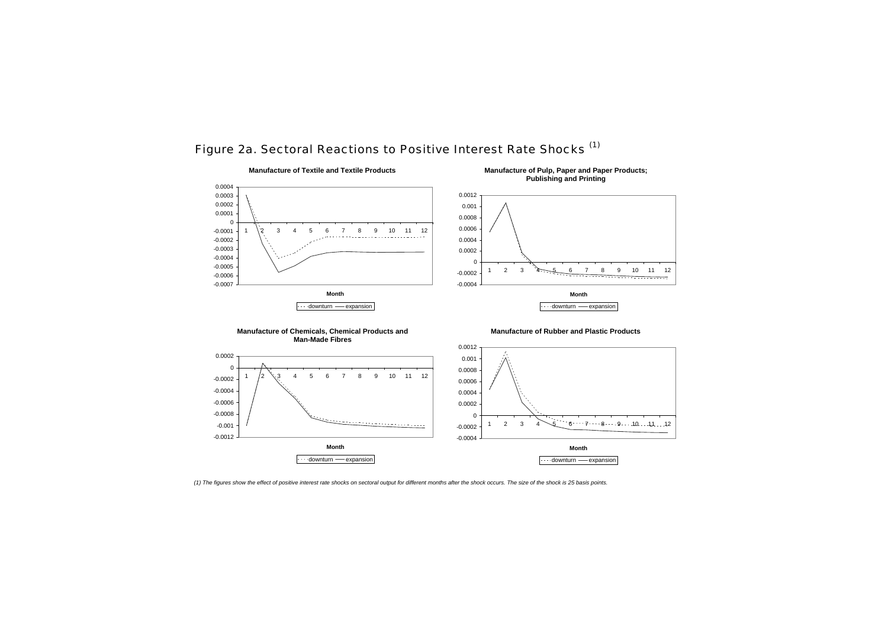

# Figure 2a. Sectoral Reactions to Positive Interest Rate Shocks (1)

*(1) The figures show the effect of positive interest rate shocks on sectoral output for different months after the shock occurs. The size of the shock is 25 basis points.*